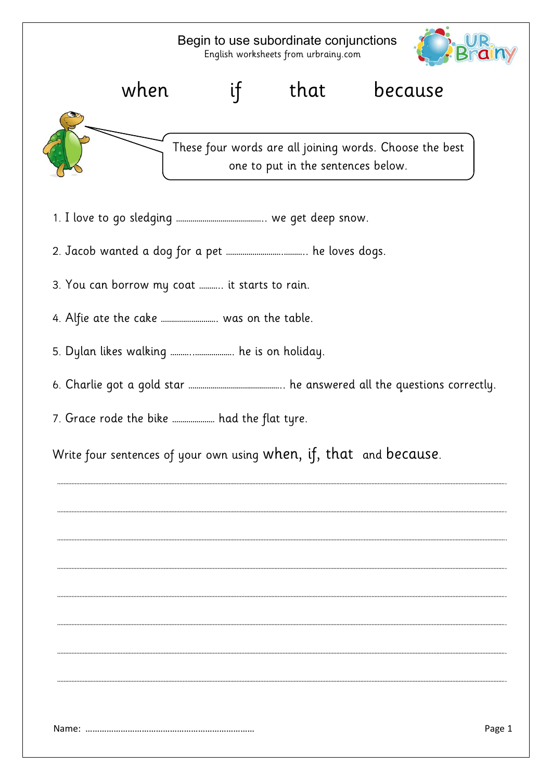## Begin to use subordinate conjunctions English worksheets from urbrainy.com





These four words are all joining words. Choose the best one to put in the sentences below.

- 1. I love to go sledging …………………………………….. we get deep snow.
- 2. Jacob wanted a dog for a pet ……………………….……….. he loves dogs.
- 3. You can borrow my coat ……….. it starts to rain.
- 4. Alfie ate the cake ………………………. was on the table.
- 5. Dylan likes walking ………..………………. he is on holiday.
- 6. Charlie got a gold star ……………………………………….. he answered all the questions correctly.

………………………………………………………………………………………………………………………………………………………………………………………………………………………………………………………….

………………………………………………………………………………………………………………………………………………………………………………………………………………………………………………………….

………………………………………………………………………………………………………………………………………………………………………………………………………………………………………………………….

………………………………………………………………………………………………………………………………………………………………………………………………………………………………………………………….

………………………………………………………………………………………………………………………………………………………………………………………………………………………………………………………….

………………………………………………………………………………………………………………………………………………………………………………………………………………………………………………………….

………………………………………………………………………………………………………………………………………………………………………………………………………………………………………………………….

………………………………………………………………………………………………………………………………………………………………………………………………………………………………………………………….

7. Grace rode the bike ………………… had the flat tyre.

Write four sentences of your own using when, if, that and because.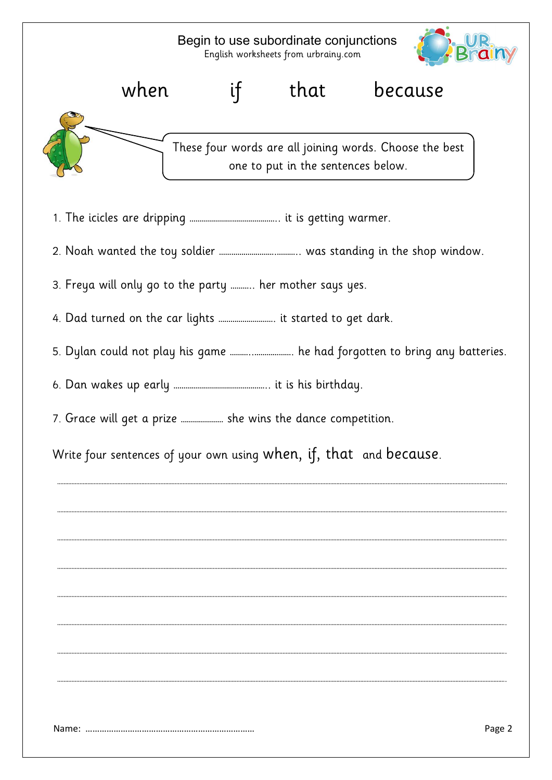# Begin to use subordinate conjunctions English worksheets from urbrainy.com





# These four words are all joining words. Choose the best one to put in the sentences below.

- 1. The icicles are dripping …………………………………….. it is getting warmer.
- 2. Noah wanted the toy soldier ……………………….……….. was standing in the shop window.
- 3. Freya will only go to the party ……….. her mother says yes.
- 4. Dad turned on the car lights ………………………. it started to get dark.
- 5. Dylan could not play his game ………..………………. he had forgotten to bring any batteries.

………………………………………………………………………………………………………………………………………………………………………………………………………………………………………………………….

………………………………………………………………………………………………………………………………………………………………………………………………………………………………………………………….

………………………………………………………………………………………………………………………………………………………………………………………………………………………………………………………….

………………………………………………………………………………………………………………………………………………………………………………………………………………………………………………………….

………………………………………………………………………………………………………………………………………………………………………………………………………………………………………………………….

………………………………………………………………………………………………………………………………………………………………………………………………………………………………………………………….

………………………………………………………………………………………………………………………………………………………………………………………………………………………………………………………….

………………………………………………………………………………………………………………………………………………………………………………………………………………………………………………………….

- 6. Dan wakes up early ……………………………………….. it is his birthday.
- 7. Grace will get a prize ………………… she wins the dance competition.

Write four sentences of your own using when, if, that and because.